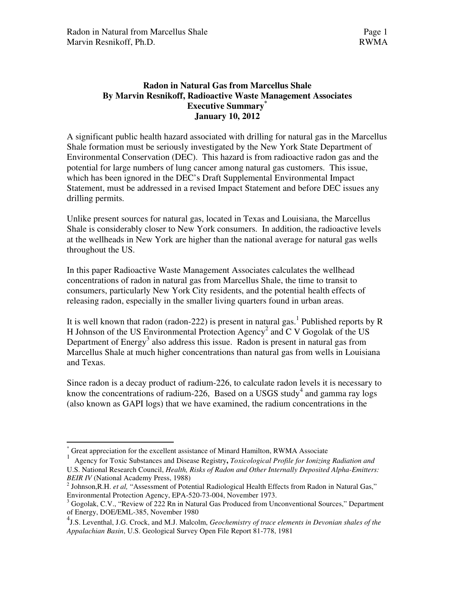# **Radon in Natural Gas from Marcellus Shale By Marvin Resnikoff, Radioactive Waste Management Associates Executive Summary\* January 10, 2012**

A significant public health hazard associated with drilling for natural gas in the Marcellus Shale formation must be seriously investigated by the New York State Department of Environmental Conservation (DEC). This hazard is from radioactive radon gas and the potential for large numbers of lung cancer among natural gas customers. This issue, which has been ignored in the DEC's Draft Supplemental Environmental Impact Statement, must be addressed in a revised Impact Statement and before DEC issues any drilling permits.

Unlike present sources for natural gas, located in Texas and Louisiana, the Marcellus Shale is considerably closer to New York consumers. In addition, the radioactive levels at the wellheads in New York are higher than the national average for natural gas wells throughout the US.

In this paper Radioactive Waste Management Associates calculates the wellhead concentrations of radon in natural gas from Marcellus Shale, the time to transit to consumers, particularly New York City residents, and the potential health effects of releasing radon, especially in the smaller living quarters found in urban areas.

It is well known that radon (radon-222) is present in natural gas.<sup>1</sup> Published reports by R H Johnson of the US Environmental Protection Agency<sup>2</sup> and C V Gogolak of the US Department of Energy<sup>3</sup> also address this issue. Radon is present in natural gas from Marcellus Shale at much higher concentrations than natural gas from wells in Louisiana and Texas.

Since radon is a decay product of radium-226, to calculate radon levels it is necessary to know the concentrations of radium-226, Based on a USGS study<sup>4</sup> and gamma ray logs (also known as GAPI logs) that we have examined, the radium concentrations in the

 $\overline{a}$ \* Great appreciation for the excellent assistance of Minard Hamilton, RWMA Associate

<sup>1</sup> Agency for Toxic Substances and Disease Registry**,** *Toxicological Profile for Ionizing Radiation and*  U.S. National Research Council, *Health, Risks of Radon and Other Internally Deposited Alpha-Emitters: BEIR IV* (National Academy Press, 1988)

<sup>&</sup>lt;sup>2</sup> Johnson, R.H. *et al*, "Assessment of Potential Radiological Health Effects from Radon in Natural Gas," Environmental Protection Agency, EPA-520-73-004, November 1973.

<sup>&</sup>lt;sup>3</sup> Gogolak, C.V., "Review of 222 Rn in Natural Gas Produced from Unconventional Sources," Department of Energy, DOE/EML-385, November 1980

<sup>4</sup> J.S. Leventhal, J.G. Crock, and M.J. Malcolm, *Geochemistry of trace elements in Devonian shales of the Appalachian Basin*, U.S. Geological Survey Open File Report 81-778, 1981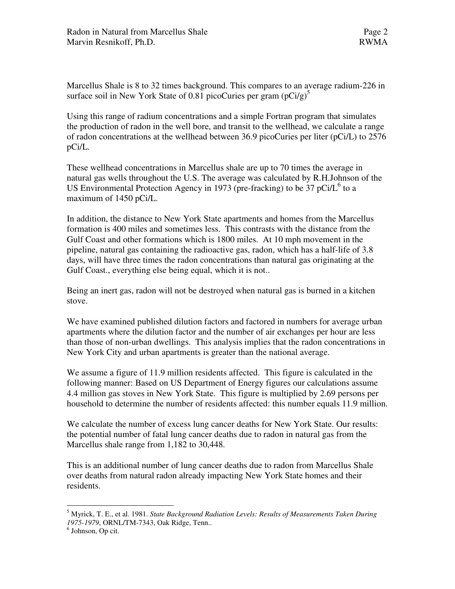Marcellus Shale is 8 to 32 times background. This compares to an average radium-226 in surface soil in New York State of 0.81 picoCuries per gram  $(pCi/g)^5$ 

Using this range of radium concentrations and a simple Fortran program that simulates the production of radon in the well bore, and transit to the wellhead, we calculate a range of radon concentrations at the wellhead between 36.9 picoCuries per liter (pCi/L) to 2576 pCi/L.

These wellhead concentrations in Marcellus shale are up to 70 times the average in natural gas wells throughout the U.S. The average was calculated by R.H.Johnson of the US Environmental Protection Agency in 1973 (pre-fracking) to be  $37$  pCi/L<sup>6</sup> to a maximum of 1450 pCi/L.

In addition, the distance to New York State apartments and homes from the Marcellus formation is 400 miles and sometimes less. This contrasts with the distance from the Gulf Coast and other formations which is 1800 miles. At 10 mph movement in the pipeline, natural gas containing the radioactive gas, radon, which has a half-life of 3.8 days, will have three times the radon concentrations than natural gas originating at the Gulf Coast., everything else being equal, which it is not..

Being an inert gas, radon will not be destroyed when natural gas is burned in a kitchen stove.

We have examined published dilution factors and factored in numbers for average urban apartments where the dilution factor and the number of air exchanges per hour are less than those of non-urban dwellings. This analysis implies that the radon concentrations in New York City and urban apartments is greater than the national average.

We assume a figure of 11.9 million residents affected. This figure is calculated in the following manner: Based on US Department of Energy figures our calculations assume 4.4 million gas stoves in New York State. This figure is multiplied by 2.69 persons per household to determine the number of residents affected: this number equals 11.9 million.

We calculate the number of excess lung cancer deaths for New York State. Our results: the potential number of fatal lung cancer deaths due to radon in natural gas from the Marcellus shale range from 1,182 to 30,448.

This is an additional number of lung cancer deaths due to radon from Marcellus Shale over deaths from natural radon already impacting New York State homes and their residents.

 5 Myrick, T. E., et al. 1981. *State Background Radiation Levels: Results of Measurements Taken During 1975-1979*, ORNL/TM-7343, Oak Ridge, Tenn..

<sup>6</sup> Johnson, Op cit.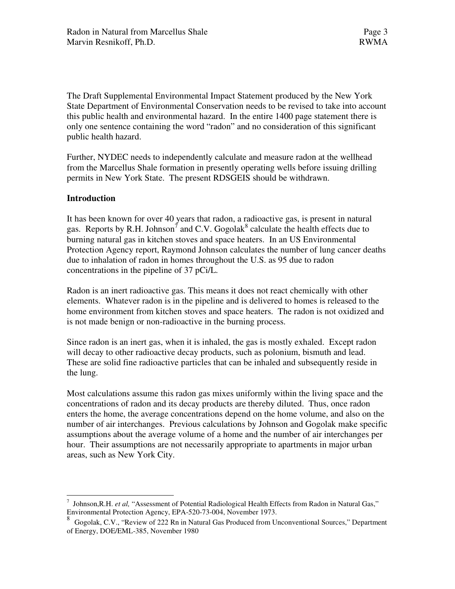The Draft Supplemental Environmental Impact Statement produced by the New York State Department of Environmental Conservation needs to be revised to take into account this public health and environmental hazard. In the entire 1400 page statement there is only one sentence containing the word "radon" and no consideration of this significant public health hazard.

Further, NYDEC needs to independently calculate and measure radon at the wellhead from the Marcellus Shale formation in presently operating wells before issuing drilling permits in New York State. The present RDSGEIS should be withdrawn.

## **Introduction**

 $\overline{a}$ 

It has been known for over 40 years that radon, a radioactive gas, is present in natural gas. Reports by R.H. Johnson<sup>7</sup> and C.V. Gogolak<sup>8</sup> calculate the health effects due to burning natural gas in kitchen stoves and space heaters. In an US Environmental Protection Agency report, Raymond Johnson calculates the number of lung cancer deaths due to inhalation of radon in homes throughout the U.S. as 95 due to radon concentrations in the pipeline of 37 pCi/L.

Radon is an inert radioactive gas. This means it does not react chemically with other elements. Whatever radon is in the pipeline and is delivered to homes is released to the home environment from kitchen stoves and space heaters. The radon is not oxidized and is not made benign or non-radioactive in the burning process.

Since radon is an inert gas, when it is inhaled, the gas is mostly exhaled. Except radon will decay to other radioactive decay products, such as polonium, bismuth and lead. These are solid fine radioactive particles that can be inhaled and subsequently reside in the lung.

Most calculations assume this radon gas mixes uniformly within the living space and the concentrations of radon and its decay products are thereby diluted. Thus, once radon enters the home, the average concentrations depend on the home volume, and also on the number of air interchanges. Previous calculations by Johnson and Gogolak make specific assumptions about the average volume of a home and the number of air interchanges per hour. Their assumptions are not necessarily appropriate to apartments in major urban areas, such as New York City.

<sup>&</sup>lt;sup>7</sup> Johnson, R.H. *et al*, "Assessment of Potential Radiological Health Effects from Radon in Natural Gas," Environmental Protection Agency, EPA-520-73-004, November 1973.

<sup>8</sup> Gogolak, C.V., "Review of 222 Rn in Natural Gas Produced from Unconventional Sources," Department of Energy, DOE/EML-385, November 1980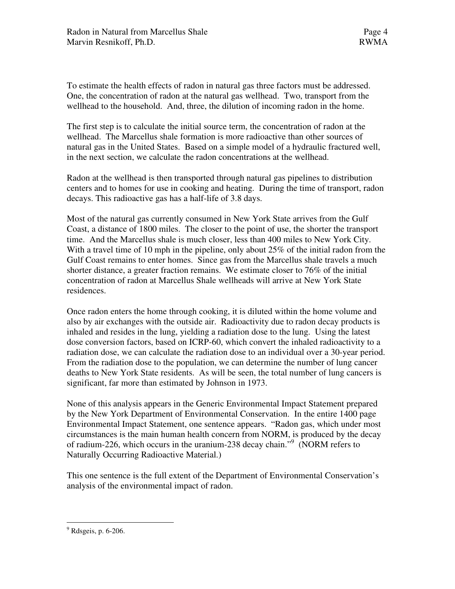To estimate the health effects of radon in natural gas three factors must be addressed. One, the concentration of radon at the natural gas wellhead. Two, transport from the wellhead to the household. And, three, the dilution of incoming radon in the home.

The first step is to calculate the initial source term, the concentration of radon at the wellhead. The Marcellus shale formation is more radioactive than other sources of natural gas in the United States. Based on a simple model of a hydraulic fractured well, in the next section, we calculate the radon concentrations at the wellhead.

Radon at the wellhead is then transported through natural gas pipelines to distribution centers and to homes for use in cooking and heating. During the time of transport, radon decays. This radioactive gas has a half-life of 3.8 days.

Most of the natural gas currently consumed in New York State arrives from the Gulf Coast, a distance of 1800 miles. The closer to the point of use, the shorter the transport time. And the Marcellus shale is much closer, less than 400 miles to New York City. With a travel time of 10 mph in the pipeline, only about 25% of the initial radon from the Gulf Coast remains to enter homes. Since gas from the Marcellus shale travels a much shorter distance, a greater fraction remains. We estimate closer to 76% of the initial concentration of radon at Marcellus Shale wellheads will arrive at New York State residences.

Once radon enters the home through cooking, it is diluted within the home volume and also by air exchanges with the outside air. Radioactivity due to radon decay products is inhaled and resides in the lung, yielding a radiation dose to the lung. Using the latest dose conversion factors, based on ICRP-60, which convert the inhaled radioactivity to a radiation dose, we can calculate the radiation dose to an individual over a 30-year period. From the radiation dose to the population, we can determine the number of lung cancer deaths to New York State residents. As will be seen, the total number of lung cancers is significant, far more than estimated by Johnson in 1973.

None of this analysis appears in the Generic Environmental Impact Statement prepared by the New York Department of Environmental Conservation. In the entire 1400 page Environmental Impact Statement, one sentence appears. "Radon gas, which under most circumstances is the main human health concern from NORM, is produced by the decay of radium-226, which occurs in the uranium-238 decay chain."<sup>9</sup> (NORM refers to Naturally Occurring Radioactive Material.)

This one sentence is the full extent of the Department of Environmental Conservation's analysis of the environmental impact of radon.

 $\overline{a}$ 

<sup>9</sup> Rdsgeis, p. 6-206.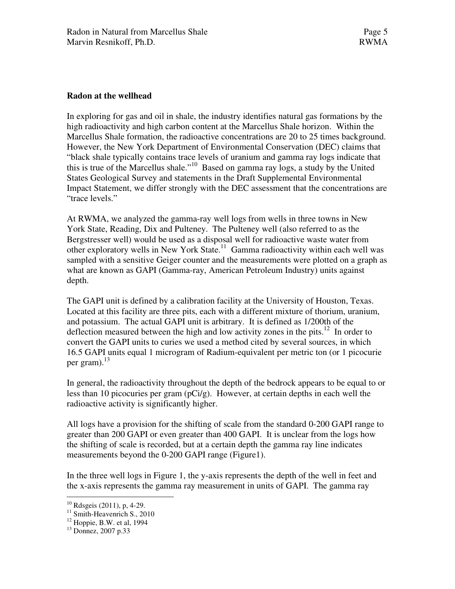### **Radon at the wellhead**

In exploring for gas and oil in shale, the industry identifies natural gas formations by the high radioactivity and high carbon content at the Marcellus Shale horizon. Within the Marcellus Shale formation, the radioactive concentrations are 20 to 25 times background. However, the New York Department of Environmental Conservation (DEC) claims that "black shale typically contains trace levels of uranium and gamma ray logs indicate that this is true of the Marcellus shale."<sup>10</sup> Based on gamma ray logs, a study by the United States Geological Survey and statements in the Draft Supplemental Environmental Impact Statement, we differ strongly with the DEC assessment that the concentrations are "trace levels."

At RWMA, we analyzed the gamma-ray well logs from wells in three towns in New York State, Reading, Dix and Pulteney. The Pulteney well (also referred to as the Bergstresser well) would be used as a disposal well for radioactive waste water from other exploratory wells in New York State.<sup>11</sup> Gamma radioactivity within each well was sampled with a sensitive Geiger counter and the measurements were plotted on a graph as what are known as GAPI (Gamma-ray, American Petroleum Industry) units against depth.

The GAPI unit is defined by a calibration facility at the University of Houston, Texas. Located at this facility are three pits, each with a different mixture of thorium, uranium, and potassium. The actual GAPI unit is arbitrary. It is defined as 1/200th of the deflection measured between the high and low activity zones in the pits.<sup>12</sup> In order to convert the GAPI units to curies we used a method cited by several sources, in which 16.5 GAPI units equal 1 microgram of Radium-equivalent per metric ton (or 1 picocurie per gram).<sup>13</sup>

In general, the radioactivity throughout the depth of the bedrock appears to be equal to or less than 10 picocuries per gram (pCi/g). However, at certain depths in each well the radioactive activity is significantly higher.

All logs have a provision for the shifting of scale from the standard 0-200 GAPI range to greater than 200 GAPI or even greater than 400 GAPI. It is unclear from the logs how the shifting of scale is recorded, but at a certain depth the gamma ray line indicates measurements beyond the 0-200 GAPI range (Figure1).

In the three well logs in Figure 1, the y-axis represents the depth of the well in feet and the x-axis represents the gamma ray measurement in units of GAPI. The gamma ray

 $\overline{a}$ <sup>10</sup> Rdsgeis (2011), p, 4-29.

<sup>&</sup>lt;sup>11</sup> Smith-Heavenrich S., 2010

 $12$  Hoppie, B.W. et al, 1994

<sup>13</sup> Donnez, 2007 p.33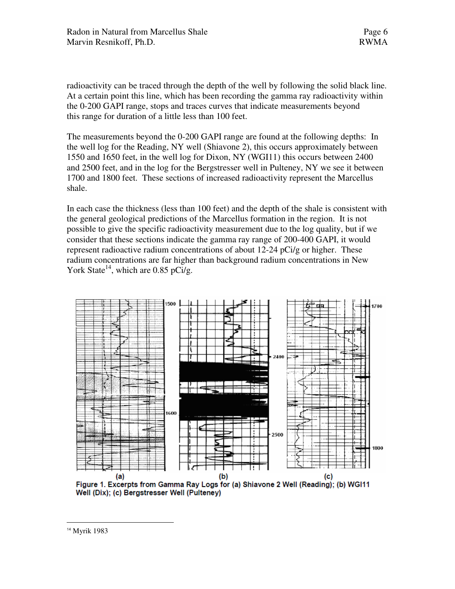radioactivity can be traced through the depth of the well by following the solid black line. At a certain point this line, which has been recording the gamma ray radioactivity within the 0-200 GAPI range, stops and traces curves that indicate measurements beyond this range for duration of a little less than 100 feet.

The measurements beyond the 0-200 GAPI range are found at the following depths: In the well log for the Reading, NY well (Shiavone 2), this occurs approximately between 1550 and 1650 feet, in the well log for Dixon, NY (WGI11) this occurs between 2400 and 2500 feet, and in the log for the Bergstresser well in Pulteney, NY we see it between 1700 and 1800 feet. These sections of increased radioactivity represent the Marcellus shale.

In each case the thickness (less than 100 feet) and the depth of the shale is consistent with the general geological predictions of the Marcellus formation in the region. It is not possible to give the specific radioactivity measurement due to the log quality, but if we consider that these sections indicate the gamma ray range of 200-400 GAPI, it would represent radioactive radium concentrations of about 12-24 pCi/g or higher. These radium concentrations are far higher than background radium concentrations in New York State<sup>14</sup>, which are 0.85 pCi/g.



Well (Dix); (c) Bergstresser Well (Pulteney)

14 Myrik 1983

 $\overline{a}$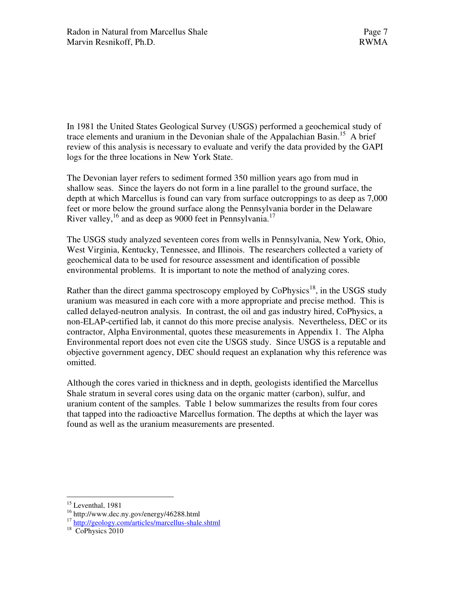In 1981 the United States Geological Survey (USGS) performed a geochemical study of trace elements and uranium in the Devonian shale of the Appalachian Basin.<sup>15</sup> A brief review of this analysis is necessary to evaluate and verify the data provided by the GAPI logs for the three locations in New York State.

The Devonian layer refers to sediment formed 350 million years ago from mud in shallow seas. Since the layers do not form in a line parallel to the ground surface, the depth at which Marcellus is found can vary from surface outcroppings to as deep as 7,000 feet or more below the ground surface along the Pennsylvania border in the Delaware River valley,<sup>16</sup> and as deep as 9000 feet in Pennsylvania.<sup>17</sup>

The USGS study analyzed seventeen cores from wells in Pennsylvania, New York, Ohio, West Virginia, Kentucky, Tennessee, and Illinois. The researchers collected a variety of geochemical data to be used for resource assessment and identification of possible environmental problems. It is important to note the method of analyzing cores.

Rather than the direct gamma spectroscopy employed by  $CoPhysics^{18}$ , in the USGS study uranium was measured in each core with a more appropriate and precise method. This is called delayed-neutron analysis. In contrast, the oil and gas industry hired, CoPhysics, a non-ELAP-certified lab, it cannot do this more precise analysis. Nevertheless, DEC or its contractor, Alpha Environmental, quotes these measurements in Appendix 1. The Alpha Environmental report does not even cite the USGS study. Since USGS is a reputable and objective government agency, DEC should request an explanation why this reference was omitted.

Although the cores varied in thickness and in depth, geologists identified the Marcellus Shale stratum in several cores using data on the organic matter (carbon), sulfur, and uranium content of the samples. Table 1 below summarizes the results from four cores that tapped into the radioactive Marcellus formation. The depths at which the layer was found as well as the uranium measurements are presented.

 $\overline{a}$ <sup>15</sup> Leventhal, 1981

<sup>16</sup> http://www.dec.ny.gov/energy/46288.html

<sup>&</sup>lt;sup>17</sup> http://geology.com/articles/marcellus-shale.shtml

<sup>&</sup>lt;sup>18</sup> CoPhysics 2010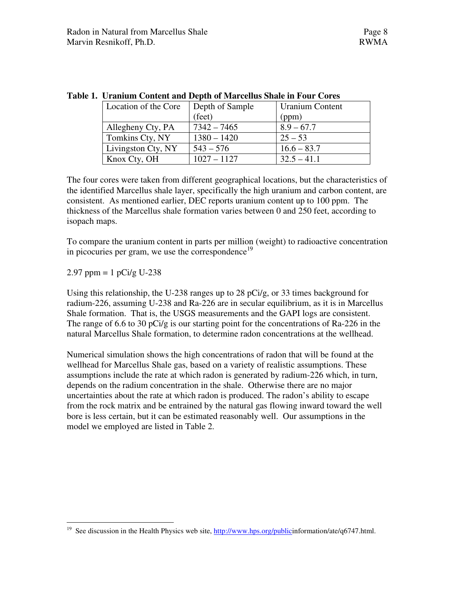| Location of the Core | Depth of Sample | <b>Uranium Content</b> |
|----------------------|-----------------|------------------------|
|                      | (feet)          | (ppm)                  |
| Allegheny Cty, PA    | $7342 - 7465$   | $8.9 - 67.7$           |
| Tomkins Cty, NY      | $1380 - 1420$   | $25 - 53$              |
| Livingston Cty, NY   | $543 - 576$     | $16.6 - 83.7$          |
| Knox Cty, OH         | $1027 - 1127$   | $32.5 - 41.1$          |

|  | Table 1. Uranium Content and Depth of Marcellus Shale in Four Cores |  |  |  |  |  |  |  |
|--|---------------------------------------------------------------------|--|--|--|--|--|--|--|
|--|---------------------------------------------------------------------|--|--|--|--|--|--|--|

The four cores were taken from different geographical locations, but the characteristics of the identified Marcellus shale layer, specifically the high uranium and carbon content, are consistent. As mentioned earlier, DEC reports uranium content up to 100 ppm. The thickness of the Marcellus shale formation varies between 0 and 250 feet, according to isopach maps.

To compare the uranium content in parts per million (weight) to radioactive concentration in picocuries per gram, we use the correspondence<sup>19</sup>

2.97 ppm =  $1 pCi/g U-238$ 

Using this relationship, the U-238 ranges up to 28 pCi/g, or 33 times background for radium-226, assuming U-238 and Ra-226 are in secular equilibrium, as it is in Marcellus Shale formation. That is, the USGS measurements and the GAPI logs are consistent. The range of 6.6 to 30 pCi/g is our starting point for the concentrations of Ra-226 in the natural Marcellus Shale formation, to determine radon concentrations at the wellhead.

Numerical simulation shows the high concentrations of radon that will be found at the wellhead for Marcellus Shale gas, based on a variety of realistic assumptions. These assumptions include the rate at which radon is generated by radium-226 which, in turn, depends on the radium concentration in the shale. Otherwise there are no major uncertainties about the rate at which radon is produced. The radon's ability to escape from the rock matrix and be entrained by the natural gas flowing inward toward the well bore is less certain, but it can be estimated reasonably well. Our assumptions in the model we employed are listed in Table 2.

 $\overline{a}$ <sup>19</sup> See discussion in the Health Physics web site,  $\frac{http://www.hps.org/publicinformation/ate/q6747.html.$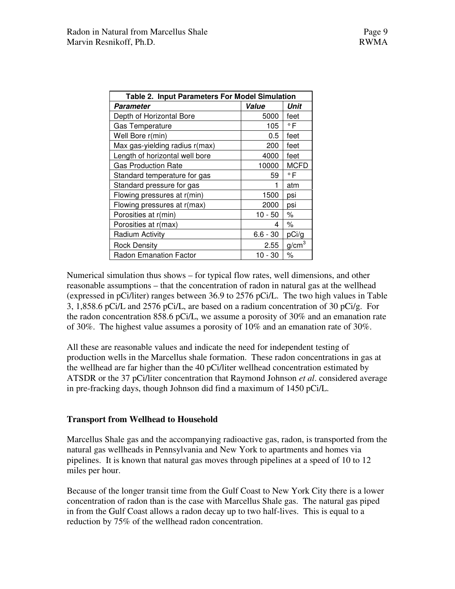| <b>Table 2. Input Parameters For Model Simulation</b> |            |                   |  |  |
|-------------------------------------------------------|------------|-------------------|--|--|
| Parameter                                             | Value      | Unit              |  |  |
| Depth of Horizontal Bore                              | 5000       | feet              |  |  |
| <b>Gas Temperature</b>                                | 105        | $\circ$ F         |  |  |
| Well Bore r(min)                                      | 0.5        | feet              |  |  |
| Max gas-yielding radius r(max)                        | 200        | feet              |  |  |
| Length of horizontal well bore                        | 4000       | feet              |  |  |
| <b>Gas Production Rate</b>                            | 10000      | <b>MCFD</b>       |  |  |
| Standard temperature for gas                          | 59         | $\circ$ F         |  |  |
| Standard pressure for gas                             |            | atm               |  |  |
| Flowing pressures at r(min)                           | 1500       | psi               |  |  |
| Flowing pressures at r(max)                           | 2000       | psi               |  |  |
| Porosities at r(min)                                  | $10 - 50$  | $\%$              |  |  |
| Porosities at r(max)                                  | 4          | $\%$              |  |  |
| Radium Activity                                       | $6.6 - 30$ | pCi/g             |  |  |
| <b>Rock Density</b>                                   | 2.55       | g/cm <sup>3</sup> |  |  |
| <b>Radon Emanation Factor</b>                         | 10 - 30    | $\%$              |  |  |

Numerical simulation thus shows – for typical flow rates, well dimensions, and other reasonable assumptions – that the concentration of radon in natural gas at the wellhead (expressed in pCi/liter) ranges between 36.9 to 2576 pCi/L. The two high values in Table 3, 1,858.6 pCi/L and 2576 pCi/L, are based on a radium concentration of 30 pCi/g. For the radon concentration 858.6 pCi/L, we assume a porosity of 30% and an emanation rate of 30%. The highest value assumes a porosity of 10% and an emanation rate of 30%.

All these are reasonable values and indicate the need for independent testing of production wells in the Marcellus shale formation. These radon concentrations in gas at the wellhead are far higher than the 40 pCi/liter wellhead concentration estimated by ATSDR or the 37 pCi/liter concentration that Raymond Johnson *et al*. considered average in pre-fracking days, though Johnson did find a maximum of 1450 pCi/L.

### **Transport from Wellhead to Household**

Marcellus Shale gas and the accompanying radioactive gas, radon, is transported from the natural gas wellheads in Pennsylvania and New York to apartments and homes via pipelines. It is known that natural gas moves through pipelines at a speed of 10 to 12 miles per hour.

Because of the longer transit time from the Gulf Coast to New York City there is a lower concentration of radon than is the case with Marcellus Shale gas. The natural gas piped in from the Gulf Coast allows a radon decay up to two half-lives. This is equal to a reduction by 75% of the wellhead radon concentration.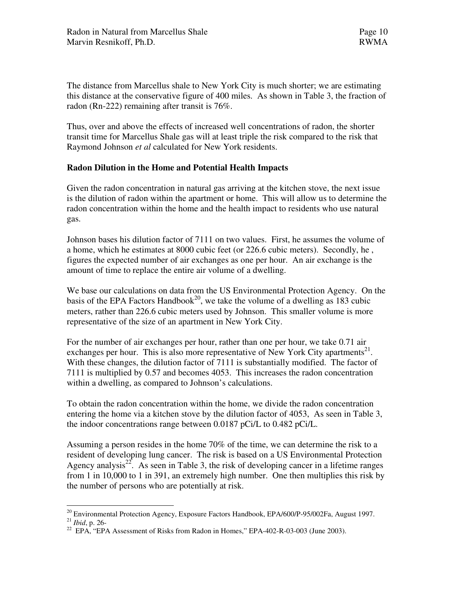The distance from Marcellus shale to New York City is much shorter; we are estimating this distance at the conservative figure of 400 miles. As shown in Table 3, the fraction of radon (Rn-222) remaining after transit is 76%.

Thus, over and above the effects of increased well concentrations of radon, the shorter transit time for Marcellus Shale gas will at least triple the risk compared to the risk that Raymond Johnson *et al* calculated for New York residents.

## **Radon Dilution in the Home and Potential Health Impacts**

Given the radon concentration in natural gas arriving at the kitchen stove, the next issue is the dilution of radon within the apartment or home. This will allow us to determine the radon concentration within the home and the health impact to residents who use natural gas.

Johnson bases his dilution factor of 7111 on two values. First, he assumes the volume of a home, which he estimates at 8000 cubic feet (or 226.6 cubic meters). Secondly, he , figures the expected number of air exchanges as one per hour. An air exchange is the amount of time to replace the entire air volume of a dwelling.

We base our calculations on data from the US Environmental Protection Agency. On the basis of the EPA Factors Handbook<sup>20</sup>, we take the volume of a dwelling as 183 cubic meters, rather than 226.6 cubic meters used by Johnson. This smaller volume is more representative of the size of an apartment in New York City.

For the number of air exchanges per hour, rather than one per hour, we take 0.71 air exchanges per hour. This is also more representative of New York City apartments<sup>21</sup>. With these changes, the dilution factor of 7111 is substantially modified. The factor of 7111 is multiplied by 0.57 and becomes 4053. This increases the radon concentration within a dwelling, as compared to Johnson's calculations.

To obtain the radon concentration within the home, we divide the radon concentration entering the home via a kitchen stove by the dilution factor of 4053, As seen in Table 3, the indoor concentrations range between 0.0187 pCi/L to 0.482 pCi/L.

Assuming a person resides in the home 70% of the time, we can determine the risk to a resident of developing lung cancer. The risk is based on a US Environmental Protection Agency analysis<sup>22</sup>. As seen in Table 3, the risk of developing cancer in a lifetime ranges from 1 in 10,000 to 1 in 391, an extremely high number. One then multiplies this risk by the number of persons who are potentially at risk.

 $\overline{a}$ <sup>20</sup> Environmental Protection Agency, Exposure Factors Handbook, EPA/600/P-95/002Fa, August 1997.

<sup>21</sup> *Ibid*, p. 26-

<sup>&</sup>lt;sup>22</sup> EPA, "EPA Assessment of Risks from Radon in Homes," EPA-402-R-03-003 (June 2003).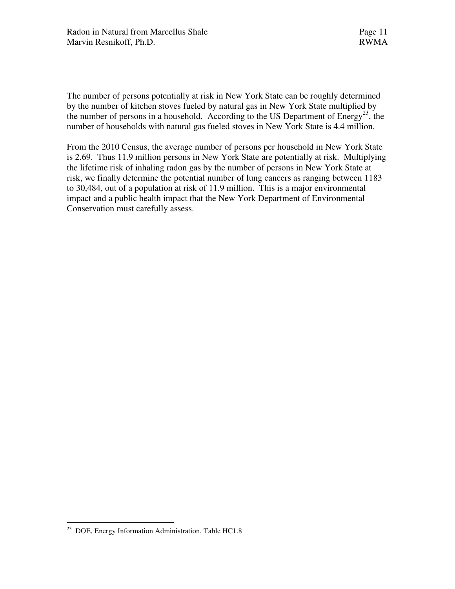The number of persons potentially at risk in New York State can be roughly determined by the number of kitchen stoves fueled by natural gas in New York State multiplied by the number of persons in a household. According to the US Department of  $Energy^{23}$ , the number of households with natural gas fueled stoves in New York State is 4.4 million.

From the 2010 Census, the average number of persons per household in New York State is 2.69. Thus 11.9 million persons in New York State are potentially at risk. Multiplying the lifetime risk of inhaling radon gas by the number of persons in New York State at risk, we finally determine the potential number of lung cancers as ranging between 1183 to 30,484, out of a population at risk of 11.9 million. This is a major environmental impact and a public health impact that the New York Department of Environmental Conservation must carefully assess.

 $\overline{a}$ 

<sup>&</sup>lt;sup>23</sup> DOE, Energy Information Administration, Table HC1.8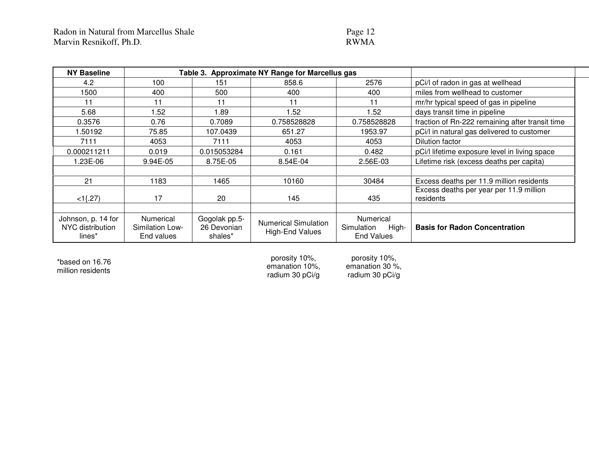# Page 12

| <b>NY Baseline</b>                               | <b>Approximate NY Range for Marcellus gas</b><br>Table 3. |                                         |                                                       |                                                              |                                                      |
|--------------------------------------------------|-----------------------------------------------------------|-----------------------------------------|-------------------------------------------------------|--------------------------------------------------------------|------------------------------------------------------|
| 4.2                                              | 100                                                       | 151                                     | 858.6                                                 | 2576                                                         | pCi/l of radon in gas at wellhead                    |
| 1500                                             | 400                                                       | 500                                     | 400                                                   | 400                                                          | miles from wellhead to customer                      |
| 11                                               | 11                                                        | 11                                      | 11                                                    | 11                                                           | mr/hr typical speed of gas in pipeline               |
| 5.68                                             | .52                                                       | 1.89                                    | 1.52                                                  | 1.52                                                         | days transit time in pipeline                        |
| 0.3576                                           | 0.76                                                      | 0.7089                                  | 0.758528828                                           | 0.758528828                                                  | fraction of Rn-222 remaining after transit time      |
| 1.50192                                          | 75.85                                                     | 107.0439                                | 651.27                                                | 1953.97                                                      | pCi/l in natural gas delivered to customer           |
| 7111                                             | 4053                                                      | 7111                                    | 4053                                                  | 4053                                                         | Dilution factor                                      |
| 0.000211211                                      | 0.019                                                     | 0.015053284                             | 0.161                                                 | 0.482                                                        | pCi/l lifetime exposure level in living space        |
| .23E-06                                          | 9.94E-05                                                  | 8.75E-05                                | 8.54E-04                                              | 2.56E-03                                                     | Lifetime risk (excess deaths per capita)             |
|                                                  |                                                           |                                         |                                                       |                                                              |                                                      |
| 21                                               | 1183                                                      | 1465                                    | 10160                                                 | 30484                                                        | Excess deaths per 11.9 million residents             |
| $<1$ {.27}                                       | 17                                                        | 20                                      | 145                                                   | 435                                                          | Excess deaths per year per 11.9 million<br>residents |
|                                                  |                                                           |                                         |                                                       |                                                              |                                                      |
| Johnson, p. 14 for<br>NYC distribution<br>lines* | Numerical<br>Similation Low-<br>End values                | Gogolak pp.5-<br>26 Devonian<br>shales* | <b>Numerical Simulation</b><br><b>High-End Values</b> | <b>Numerical</b><br>Simulation<br>High-<br><b>End Values</b> | <b>Basis for Radon Concentration</b>                 |

\*based on 16.76 million residents

porosity 10%, emanation 10%, radium 30 pCi/g

porosity 10%, emanation 30 %, radium 30 pCi/g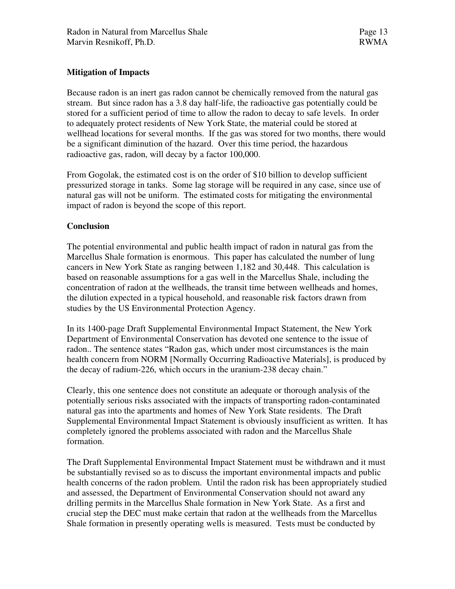# **Mitigation of Impacts**

Because radon is an inert gas radon cannot be chemically removed from the natural gas stream. But since radon has a 3.8 day half-life, the radioactive gas potentially could be stored for a sufficient period of time to allow the radon to decay to safe levels. In order to adequately protect residents of New York State, the material could be stored at wellhead locations for several months. If the gas was stored for two months, there would be a significant diminution of the hazard. Over this time period, the hazardous radioactive gas, radon, will decay by a factor 100,000.

From Gogolak, the estimated cost is on the order of \$10 billion to develop sufficient pressurized storage in tanks. Some lag storage will be required in any case, since use of natural gas will not be uniform. The estimated costs for mitigating the environmental impact of radon is beyond the scope of this report.

### **Conclusion**

The potential environmental and public health impact of radon in natural gas from the Marcellus Shale formation is enormous. This paper has calculated the number of lung cancers in New York State as ranging between 1,182 and 30,448. This calculation is based on reasonable assumptions for a gas well in the Marcellus Shale, including the concentration of radon at the wellheads, the transit time between wellheads and homes, the dilution expected in a typical household, and reasonable risk factors drawn from studies by the US Environmental Protection Agency.

In its 1400-page Draft Supplemental Environmental Impact Statement, the New York Department of Environmental Conservation has devoted one sentence to the issue of radon.. The sentence states "Radon gas, which under most circumstances is the main health concern from NORM [Normally Occurring Radioactive Materials], is produced by the decay of radium-226, which occurs in the uranium-238 decay chain."

Clearly, this one sentence does not constitute an adequate or thorough analysis of the potentially serious risks associated with the impacts of transporting radon-contaminated natural gas into the apartments and homes of New York State residents. The Draft Supplemental Environmental Impact Statement is obviously insufficient as written. It has completely ignored the problems associated with radon and the Marcellus Shale formation.

The Draft Supplemental Environmental Impact Statement must be withdrawn and it must be substantially revised so as to discuss the important environmental impacts and public health concerns of the radon problem. Until the radon risk has been appropriately studied and assessed, the Department of Environmental Conservation should not award any drilling permits in the Marcellus Shale formation in New York State. As a first and crucial step the DEC must make certain that radon at the wellheads from the Marcellus Shale formation in presently operating wells is measured. Tests must be conducted by